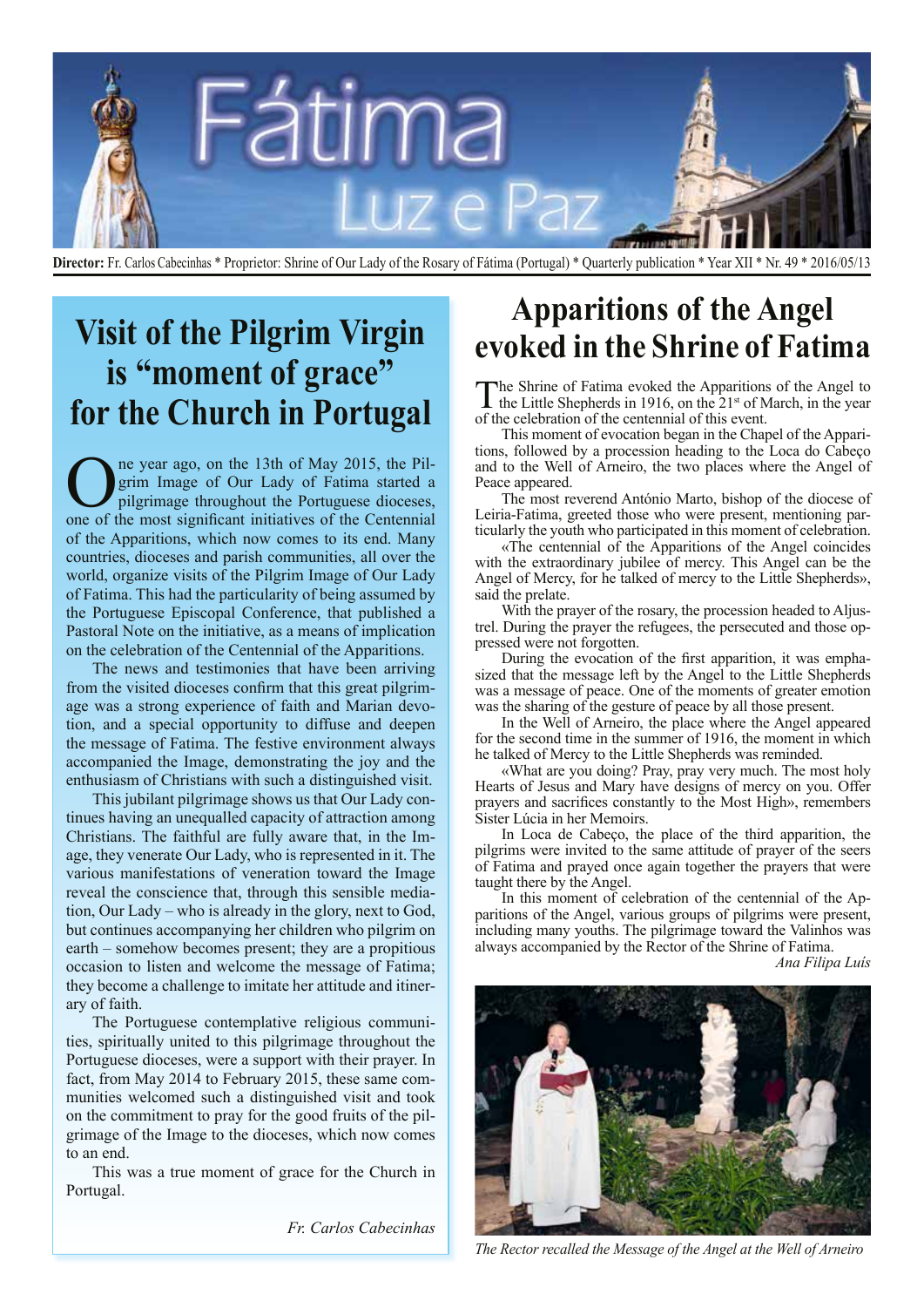

**Director:** Fr. Carlos Cabecinhas \* Proprietor: Shrine of Our Lady of the Rosary of Fátima (Portugal) \* Quarterly publication \* Year XII \* Nr. 49 \* 2016/05/13

## **Visit of the Pilgrim Virgin is "moment of grace" for the Church in Portugal**

One year ago, on the 13th of May 2015, the Pilgrim Image of Our Lady of Fatima started a pilgrimage throughout the Portuguese dioceses, one of the most significant initiatives of the Centennial grim Image of Our Lady of Fatima started a pilgrimage throughout the Portuguese dioceses, one of the most significant initiatives of the Centennial of the Apparitions, which now comes to its end. Many countries, dioceses and parish communities, all over the world, organize visits of the Pilgrim Image of Our Lady of Fatima. This had the particularity of being assumed by the Portuguese Episcopal Conference, that published a Pastoral Note on the initiative, as a means of implication on the celebration of the Centennial of the Apparitions.

The news and testimonies that have been arriving from the visited dioceses confirm that this great pilgrimage was a strong experience of faith and Marian devotion, and a special opportunity to diffuse and deepen the message of Fatima. The festive environment always accompanied the Image, demonstrating the joy and the enthusiasm of Christians with such a distinguished visit.

This jubilant pilgrimage shows us that Our Lady continues having an unequalled capacity of attraction among Christians. The faithful are fully aware that, in the Image, they venerate Our Lady, who is represented in it. The various manifestations of veneration toward the Image reveal the conscience that, through this sensible mediation, Our Lady – who is already in the glory, next to God, but continues accompanying her children who pilgrim on earth – somehow becomes present; they are a propitious occasion to listen and welcome the message of Fatima; they become a challenge to imitate her attitude and itinerary of faith.

The Portuguese contemplative religious communities, spiritually united to this pilgrimage throughout the Portuguese dioceses, were a support with their prayer. In fact, from May 2014 to February 2015, these same communities welcomed such a distinguished visit and took on the commitment to pray for the good fruits of the pilgrimage of the Image to the dioceses, which now comes to an end.

This was a true moment of grace for the Church in Portugal.

*Fr. Carlos Cabecinhas*

### **Apparitions of the Angel evoked in the Shrine of Fatima**

The Shrine of Fatima evoked the Apparitions of the Angel to the Little Shepherds in 1916, on the  $21<sup>st</sup>$  of March, in the year of the celebration of the centennial of this event.

This moment of evocation began in the Chapel of the Apparitions, followed by a procession heading to the Loca do Cabeço and to the Well of Arneiro, the two places where the Angel of Peace appeared.

The most reverend António Marto, bishop of the diocese of Leiria-Fatima, greeted those who were present, mentioning particularly the youth who participated in this moment of celebration.

«The centennial of the Apparitions of the Angel coincides with the extraordinary jubilee of mercy. This Angel can be the Angel of Mercy, for he talked of mercy to the Little Shepherds», said the prelate.

With the prayer of the rosary, the procession headed to Aljustrel. During the prayer the refugees, the persecuted and those oppressed were not forgotten.

During the evocation of the first apparition, it was emphasized that the message left by the Angel to the Little Shepherds was a message of peace. One of the moments of greater emotion was the sharing of the gesture of peace by all those present.

In the Well of Arneiro, the place where the Angel appeared for the second time in the summer of 1916, the moment in which he talked of Mercy to the Little Shepherds was reminded.

«What are you doing? Pray, pray very much. The most holy Hearts of Jesus and Mary have designs of mercy on you. Offer prayers and sacrifices constantly to the Most High», remembers Sister Lúcia in her Memoirs.

In Loca de Cabeço, the place of the third apparition, the pilgrims were invited to the same attitude of prayer of the seers of Fatima and prayed once again together the prayers that were taught there by the Angel.

In this moment of celebration of the centennial of the Apparitions of the Angel, various groups of pilgrims were present, including many youths. The pilgrimage toward the Valinhos was always accompanied by the Rector of the Shrine of Fatima.

*Ana Filipa Luís*



*The Rector recalled the Message of the Angel at the Well of Arneiro*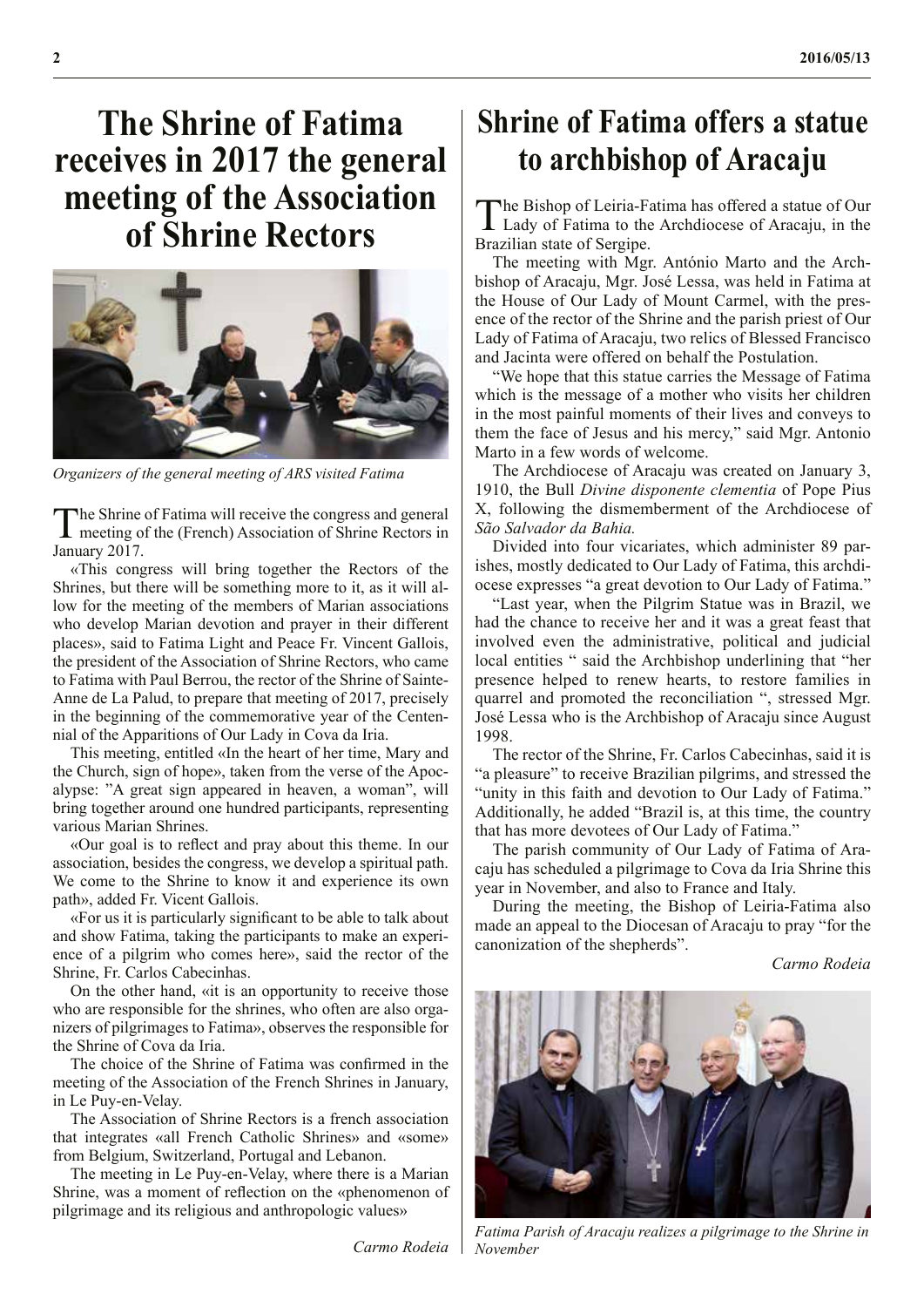# **The Shrine of Fatima receives in 2017 the general meeting of the Association**



*Organizers of the general meeting of ARS visited Fatima*

The Shrine of Fatima will receive the congress and general<br>meeting of the (French) Association of Shrine Rectors in January 2017.

«This congress will bring together the Rectors of the Shrines, but there will be something more to it, as it will allow for the meeting of the members of Marian associations who develop Marian devotion and prayer in their different places», said to Fatima Light and Peace Fr. Vincent Gallois, the president of the Association of Shrine Rectors, who came to Fatima with Paul Berrou, the rector of the Shrine of Sainte-Anne de La Palud, to prepare that meeting of 2017, precisely in the beginning of the commemorative year of the Centennial of the Apparitions of Our Lady in Cova da Iria.

This meeting, entitled «In the heart of her time, Mary and the Church, sign of hope», taken from the verse of the Apocalypse: "A great sign appeared in heaven, a woman", will bring together around one hundred participants, representing various Marian Shrines.

«Our goal is to reflect and pray about this theme. In our association, besides the congress, we develop a spiritual path. We come to the Shrine to know it and experience its own path», added Fr. Vicent Gallois.

«For us it is particularly significant to be able to talk about and show Fatima, taking the participants to make an experience of a pilgrim who comes here», said the rector of the Shrine, Fr. Carlos Cabecinhas.

On the other hand, «it is an opportunity to receive those who are responsible for the shrines, who often are also organizers of pilgrimages to Fatima», observes the responsible for the Shrine of Cova da Iria.

The choice of the Shrine of Fatima was confirmed in the meeting of the Association of the French Shrines in January, in Le Puy-en-Velay.

The Association of Shrine Rectors is a french association that integrates «all French Catholic Shrines» and «some» from Belgium, Switzerland, Portugal and Lebanon.

The meeting in Le Puy-en-Velay, where there is a Marian Shrine, was a moment of reflection on the «phenomenon of pilgrimage and its religious and anthropologic values»

*Carmo Rodeia*

### **Shrine of Fatima offers a statue to archbishop of Aracaju**

**of Shrine Rectors** The Bishop of Leiria-Fatima has offered a statue of Our<br> **of Shrine Rectors** Exactly of Fatima to the Archdiocese of Aracaju, in the **L** Lady of Fatima to the Archdiocese of Aracaju, in the Brazilian state of Sergipe.

> The meeting with Mgr. António Marto and the Archbishop of Aracaju, Mgr. José Lessa, was held in Fatima at the House of Our Lady of Mount Carmel, with the presence of the rector of the Shrine and the parish priest of Our Lady of Fatima of Aracaju, two relics of Blessed Francisco and Jacinta were offered on behalf the Postulation.

> "We hope that this statue carries the Message of Fatima which is the message of a mother who visits her children in the most painful moments of their lives and conveys to them the face of Jesus and his mercy," said Mgr. Antonio Marto in a few words of welcome.

> The Archdiocese of Aracaju was created on January 3, 1910, the Bull *Divine disponente clementia* of Pope Pius X, following the dismemberment of the Archdiocese of *São Salvador da Bahia.*

> Divided into four vicariates, which administer 89 parishes, mostly dedicated to Our Lady of Fatima, this archdiocese expresses "a great devotion to Our Lady of Fatima."

> "Last year, when the Pilgrim Statue was in Brazil, we had the chance to receive her and it was a great feast that involved even the administrative, political and judicial local entities " said the Archbishop underlining that "her presence helped to renew hearts, to restore families in quarrel and promoted the reconciliation ", stressed Mgr. José Lessa who is the Archbishop of Aracaju since August 1998.

> The rector of the Shrine, Fr. Carlos Cabecinhas, said it is "a pleasure" to receive Brazilian pilgrims, and stressed the "unity in this faith and devotion to Our Lady of Fatima." Additionally, he added "Brazil is, at this time, the country that has more devotees of Our Lady of Fatima."

> The parish community of Our Lady of Fatima of Aracaju has scheduled a pilgrimage to Cova da Iria Shrine this year in November, and also to France and Italy.

> During the meeting, the Bishop of Leiria-Fatima also made an appeal to the Diocesan of Aracaju to pray "for the canonization of the shepherds".

> > *Carmo Rodeia*



*Fatima Parish of Aracaju realizes a pilgrimage to the Shrine in November*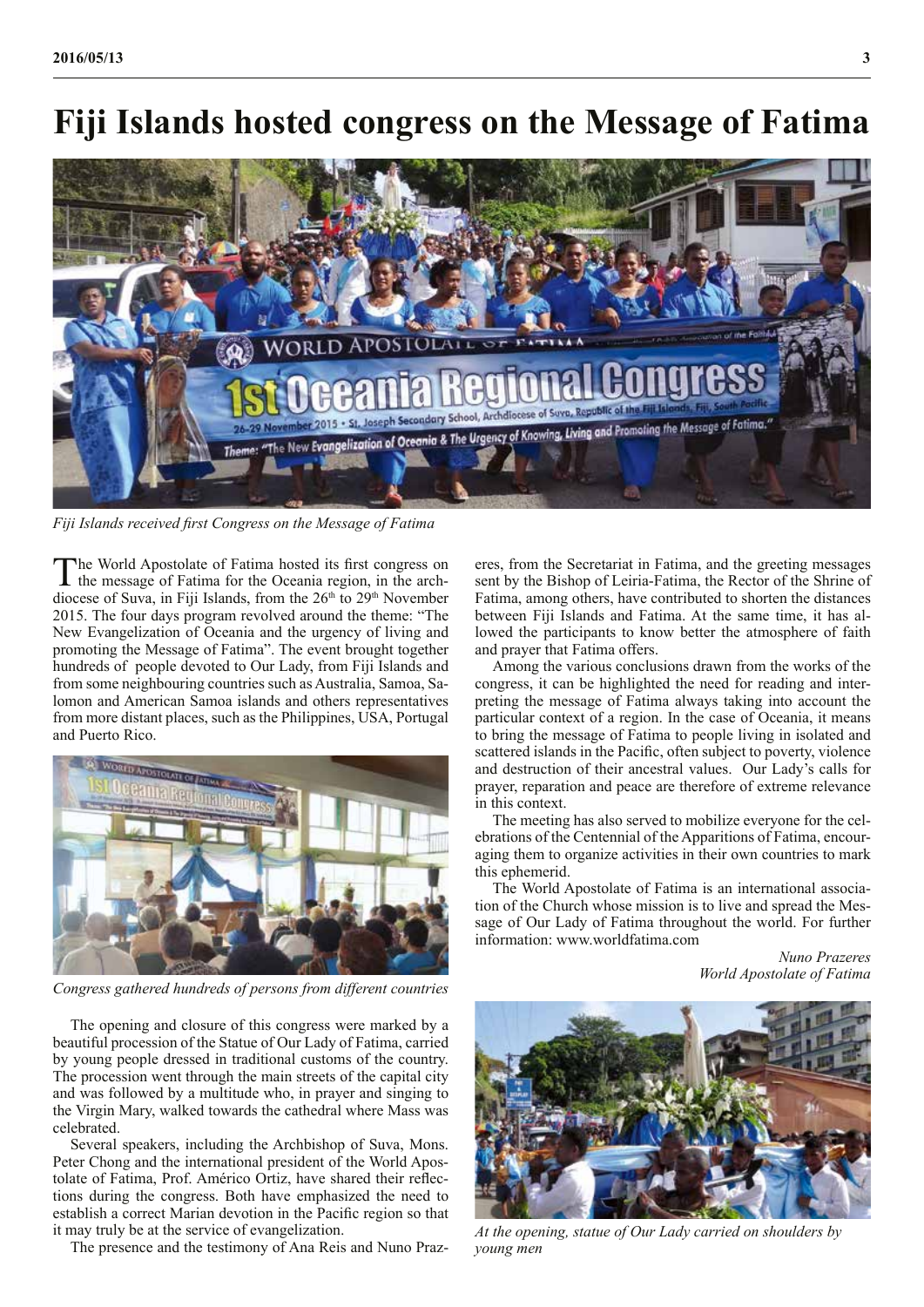### **Fiji Islands hosted congress on the Message of Fatima**



*Fiji Islands received first Congress on the Message of Fatima*

The World Apostolate of Fatima hosted its first congress on the message of Fatima for the Oceania region, in the archdiocese of Suva, in Fiji Islands, from the 26<sup>th</sup> to 29<sup>th</sup> November 2015. The four days program revolved around the theme: "The New Evangelization of Oceania and the urgency of living and promoting the Message of Fatima". The event brought together hundreds of people devoted to Our Lady, from Fiji Islands and from some neighbouring countries such as Australia, Samoa, Salomon and American Samoa islands and others representatives from more distant places, such as the Philippines, USA, Portugal and Puerto Rico.



*Congress gathered hundreds of persons from different countries*

The opening and closure of this congress were marked by a beautiful procession of the Statue of Our Lady of Fatima, carried by young people dressed in traditional customs of the country. The procession went through the main streets of the capital city and was followed by a multitude who, in prayer and singing to the Virgin Mary, walked towards the cathedral where Mass was celebrated.

Several speakers, including the Archbishop of Suva, Mons. Peter Chong and the international president of the World Apostolate of Fatima, Prof. Américo Ortiz, have shared their reflections during the congress. Both have emphasized the need to establish a correct Marian devotion in the Pacific region so that it may truly be at the service of evangelization.

The presence and the testimony of Ana Reis and Nuno Praz-

eres, from the Secretariat in Fatima, and the greeting messages sent by the Bishop of Leiria-Fatima, the Rector of the Shrine of Fatima, among others, have contributed to shorten the distances between Fiji Islands and Fatima. At the same time, it has allowed the participants to know better the atmosphere of faith and prayer that Fatima offers.

Among the various conclusions drawn from the works of the congress, it can be highlighted the need for reading and interpreting the message of Fatima always taking into account the particular context of a region. In the case of Oceania, it means to bring the message of Fatima to people living in isolated and scattered islands in the Pacific, often subject to poverty, violence and destruction of their ancestral values. Our Lady's calls for prayer, reparation and peace are therefore of extreme relevance in this context.

The meeting has also served to mobilize everyone for the celebrations of the Centennial of the Apparitions of Fatima, encouraging them to organize activities in their own countries to mark this ephemerid.

The World Apostolate of Fatima is an international association of the Church whose mission is to live and spread the Message of Our Lady of Fatima throughout the world. For further information: www.worldfatima.com

> *Nuno Prazeres World Apostolate of Fatima*



*At the opening, statue of Our Lady carried on shoulders by young men*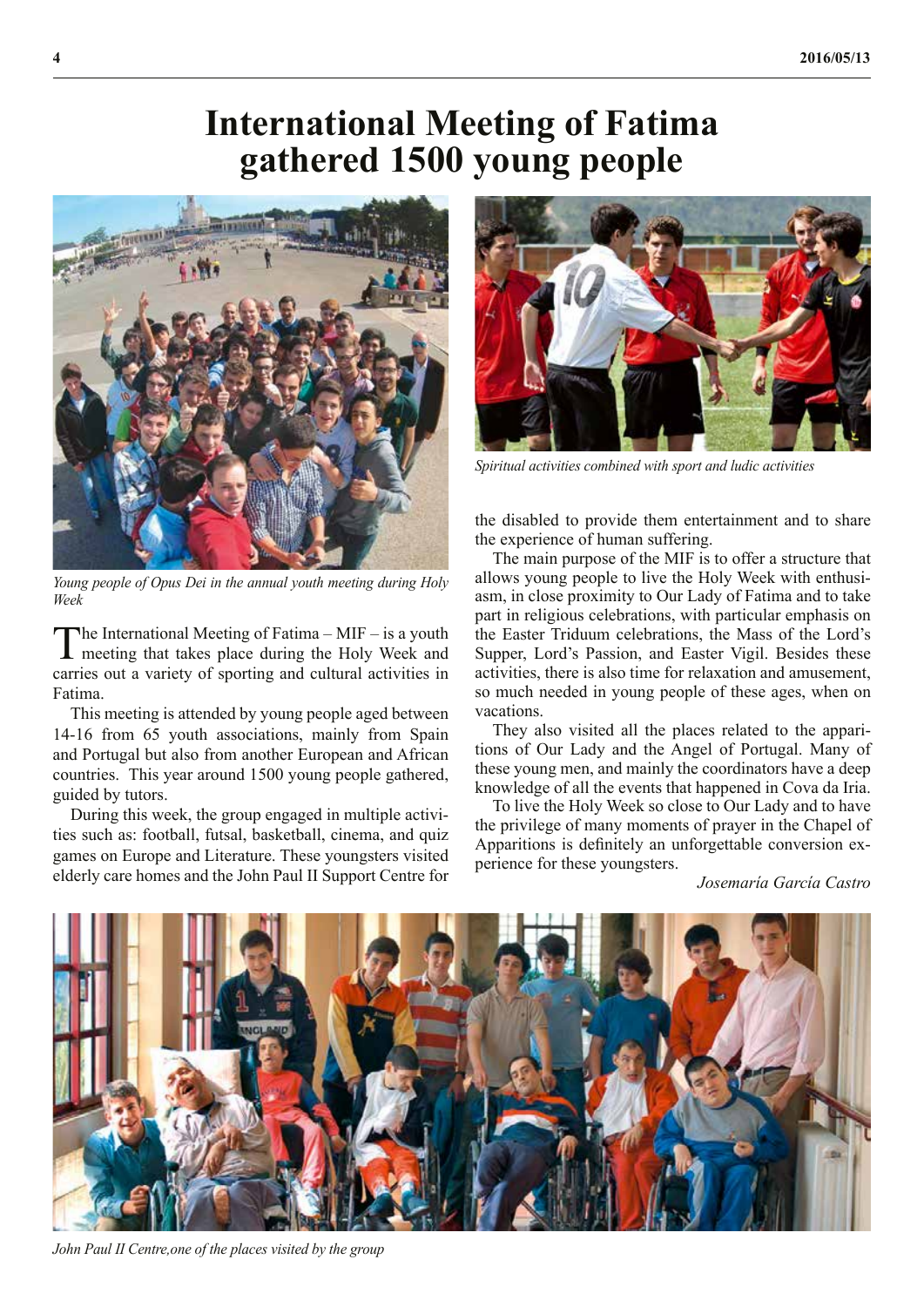## **International Meeting of Fatima gathered 1500 young people**



*Young people of Opus Dei in the annual youth meeting during Holy Week*

The International Meeting of Fatima – MIF – is a youth meeting that takes place during the Holy Week and carries out a variety of sporting and cultural activities in Fatima.

This meeting is attended by young people aged between 14-16 from 65 youth associations, mainly from Spain and Portugal but also from another European and African countries. This year around 1500 young people gathered, guided by tutors.

During this week, the group engaged in multiple activities such as: football, futsal, basketball, cinema, and quiz games on Europe and Literature. These youngsters visited elderly care homes and the John Paul II Support Centre for



*Spiritual activities combined with sport and ludic activities*

the disabled to provide them entertainment and to share the experience of human suffering.

The main purpose of the MIF is to offer a structure that allows young people to live the Holy Week with enthusiasm, in close proximity to Our Lady of Fatima and to take part in religious celebrations, with particular emphasis on the Easter Triduum celebrations, the Mass of the Lord's Supper, Lord's Passion, and Easter Vigil. Besides these activities, there is also time for relaxation and amusement, so much needed in young people of these ages, when on vacations.

They also visited all the places related to the apparitions of Our Lady and the Angel of Portugal. Many of these young men, and mainly the coordinators have a deep knowledge of all the events that happened in Cova da Iria.

To live the Holy Week so close to Our Lady and to have the privilege of many moments of prayer in the Chapel of Apparitions is definitely an unforgettable conversion experience for these youngsters.

#### *Josemaría García Castro*



*John Paul II Centre,one of the places visited by the group*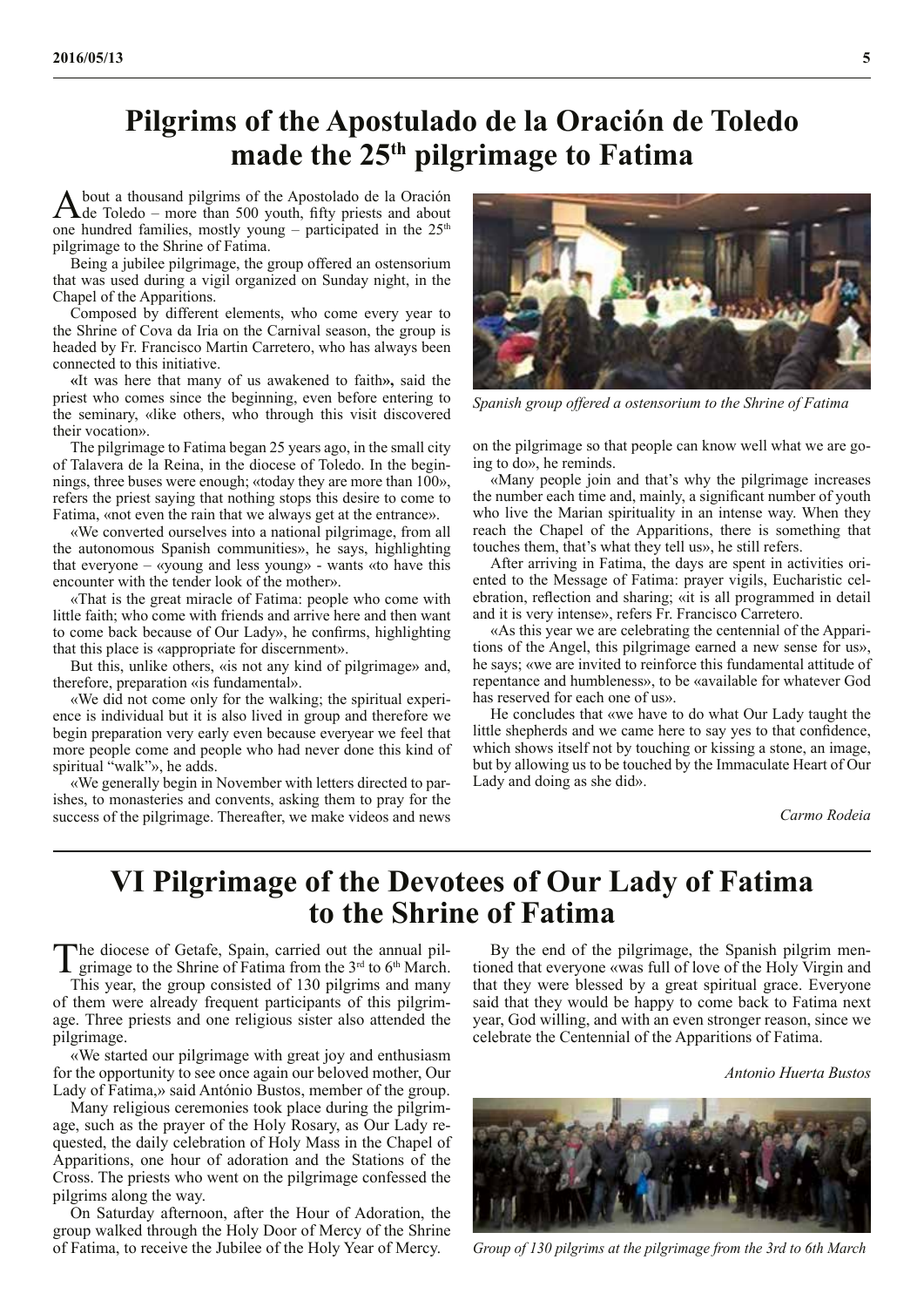#### **Pilgrims of the Apostulado de la Oración de Toledo made the 25th pilgrimage to Fatima**

A bout a thousand pilgrims of the Apostolado de la Oración<br>de Toledo – more than 500 youth, fifty priests and about one hundred families, mostly young – participated in the  $25<sup>th</sup>$ pilgrimage to the Shrine of Fatima.

Being a jubilee pilgrimage, the group offered an ostensorium that was used during a vigil organized on Sunday night, in the Chapel of the Apparitions.

Composed by different elements, who come every year to the Shrine of Cova da Iria on the Carnival season, the group is headed by Fr. Francisco Martin Carretero, who has always been connected to this initiative.

**«**It was here that many of us awakened to faith**»,** said the priest who comes since the beginning, even before entering to the seminary, «like others, who through this visit discovered their vocation».

The pilgrimage to Fatima began 25 years ago, in the small city of Talavera de la Reina, in the diocese of Toledo. In the beginnings, three buses were enough; «today they are more than 100», refers the priest saying that nothing stops this desire to come to Fatima, «not even the rain that we always get at the entrance».

«We converted ourselves into a national pilgrimage, from all the autonomous Spanish communities», he says, highlighting that everyone – «young and less young» - wants «to have this encounter with the tender look of the mother».

«That is the great miracle of Fatima: people who come with little faith; who come with friends and arrive here and then want to come back because of Our Lady», he confirms, highlighting that this place is «appropriate for discernment».

But this, unlike others, «is not any kind of pilgrimage» and, therefore, preparation «is fundamental».

«We did not come only for the walking; the spiritual experience is individual but it is also lived in group and therefore we begin preparation very early even because everyear we feel that more people come and people who had never done this kind of spiritual "walk"», he adds.

«We generally begin in November with letters directed to parishes, to monasteries and convents, asking them to pray for the success of the pilgrimage. Thereafter, we make videos and news



*Spanish group offered a ostensorium to the Shrine of Fatima*

on the pilgrimage so that people can know well what we are going to do», he reminds.

«Many people join and that's why the pilgrimage increases the number each time and, mainly, a significant number of youth who live the Marian spirituality in an intense way. When they reach the Chapel of the Apparitions, there is something that touches them, that's what they tell us», he still refers.

After arriving in Fatima, the days are spent in activities oriented to the Message of Fatima: prayer vigils, Eucharistic celebration, reflection and sharing; «it is all programmed in detail and it is very intense», refers Fr. Francisco Carretero.

«As this year we are celebrating the centennial of the Apparitions of the Angel, this pilgrimage earned a new sense for us», he says; «we are invited to reinforce this fundamental attitude of repentance and humbleness», to be «available for whatever God has reserved for each one of us».

He concludes that «we have to do what Our Lady taught the little shepherds and we came here to say yes to that confidence, which shows itself not by touching or kissing a stone, an image, but by allowing us to be touched by the Immaculate Heart of Our Lady and doing as she did».

*Carmo Rodeia*

#### **VI Pilgrimage of the Devotees of Our Lady of Fatima to the Shrine of Fatima**

The diocese of Getafe, Spain, carried out the annual pilgrimage to the Shrine of Fatima from the 3<sup>rd</sup> to 6<sup>th</sup> March.

This year, the group consisted of 130 pilgrims and many of them were already frequent participants of this pilgrimage. Three priests and one religious sister also attended the pilgrimage.

«We started our pilgrimage with great joy and enthusiasm for the opportunity to see once again our beloved mother, Our Lady of Fatima,» said António Bustos, member of the group.

Many religious ceremonies took place during the pilgrimage, such as the prayer of the Holy Rosary, as Our Lady requested, the daily celebration of Holy Mass in the Chapel of Apparitions, one hour of adoration and the Stations of the Cross. The priests who went on the pilgrimage confessed the pilgrims along the way.

On Saturday afternoon, after the Hour of Adoration, the group walked through the Holy Door of Mercy of the Shrine of Fatima, to receive the Jubilee of the Holy Year of Mercy.

By the end of the pilgrimage, the Spanish pilgrim mentioned that everyone «was full of love of the Holy Virgin and that they were blessed by a great spiritual grace. Everyone said that they would be happy to come back to Fatima next year, God willing, and with an even stronger reason, since we celebrate the Centennial of the Apparitions of Fatima.

*Antonio Huerta Bustos*



*Group of 130 pilgrims at the pilgrimage from the 3rd to 6th March*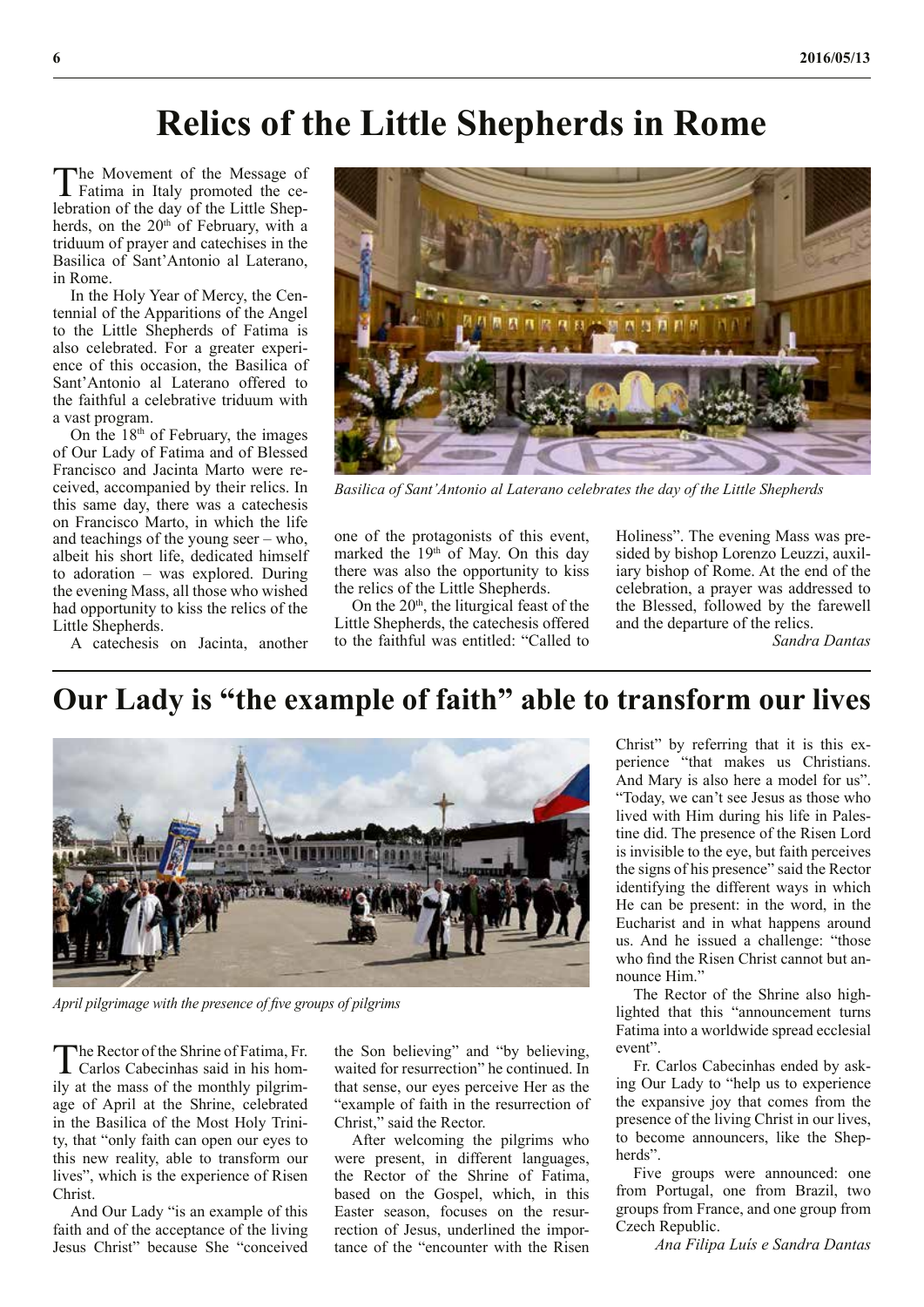## **Relics of the Little Shepherds in Rome**

The Movement of the Message of<br>Fatima in Italy promoted the celebration of the day of the Little Shepherds, on the 20<sup>th</sup> of February, with a triduum of prayer and catechises in the Basilica of Sant'Antonio al Laterano, in Rome.

In the Holy Year of Mercy, the Centennial of the Apparitions of the Angel to the Little Shepherds of Fatima is also celebrated. For a greater experience of this occasion, the Basilica of Sant'Antonio al Laterano offered to the faithful a celebrative triduum with a vast program.

On the  $18<sup>th</sup>$  of February, the images of Our Lady of Fatima and of Blessed Francisco and Jacinta Marto were received, accompanied by their relics. In this same day, there was a catechesis on Francisco Marto, in which the life and teachings of the young seer – who, albeit his short life, dedicated himself to adoration – was explored. During the evening Mass, all those who wished had opportunity to kiss the relics of the Little Shepherds.

A catechesis on Jacinta, another



*Basilica of Sant'Antonio al Laterano celebrates the day of the Little Shepherds*

one of the protagonists of this event, marked the  $19<sup>th</sup>$  of May. On this day there was also the opportunity to kiss the relics of the Little Shepherds.

On the 20<sup>th</sup>, the liturgical feast of the Little Shepherds, the catechesis offered to the faithful was entitled: "Called to Holiness". The evening Mass was presided by bishop Lorenzo Leuzzi, auxiliary bishop of Rome. At the end of the celebration, a prayer was addressed to the Blessed, followed by the farewell and the departure of the relics.

*Sandra Dantas*

#### **Our Lady is "the example of faith" able to transform our lives**



*April pilgrimage with the presence of five groups of pilgrims*

The Rector of the Shrine of Fatima, Fr. Carlos Cabecinhas said in his homily at the mass of the monthly pilgrimage of April at the Shrine, celebrated in the Basilica of the Most Holy Trinity, that "only faith can open our eyes to this new reality, able to transform our lives", which is the experience of Risen Christ.

And Our Lady "is an example of this faith and of the acceptance of the living Jesus Christ" because She "conceived

the Son believing" and "by believing, waited for resurrection" he continued. In that sense, our eyes perceive Her as the "example of faith in the resurrection of Christ," said the Rector.

After welcoming the pilgrims who were present, in different languages, the Rector of the Shrine of Fatima, based on the Gospel, which, in this Easter season, focuses on the resurrection of Jesus, underlined the importance of the "encounter with the Risen Christ" by referring that it is this experience "that makes us Christians. And Mary is also here a model for us". "Today, we can't see Jesus as those who lived with Him during his life in Palestine did. The presence of the Risen Lord is invisible to the eye, but faith perceives the signs of his presence" said the Rector identifying the different ways in which He can be present: in the word, in the Eucharist and in what happens around us. And he issued a challenge: "those who find the Risen Christ cannot but announce Him."

The Rector of the Shrine also highlighted that this "announcement turns Fatima into a worldwide spread ecclesial event".

Fr. Carlos Cabecinhas ended by asking Our Lady to "help us to experience the expansive joy that comes from the presence of the living Christ in our lives, to become announcers, like the Shepherds".

Five groups were announced: one from Portugal, one from Brazil, two groups from France, and one group from Czech Republic.

*Ana Filipa Luís e Sandra Dantas*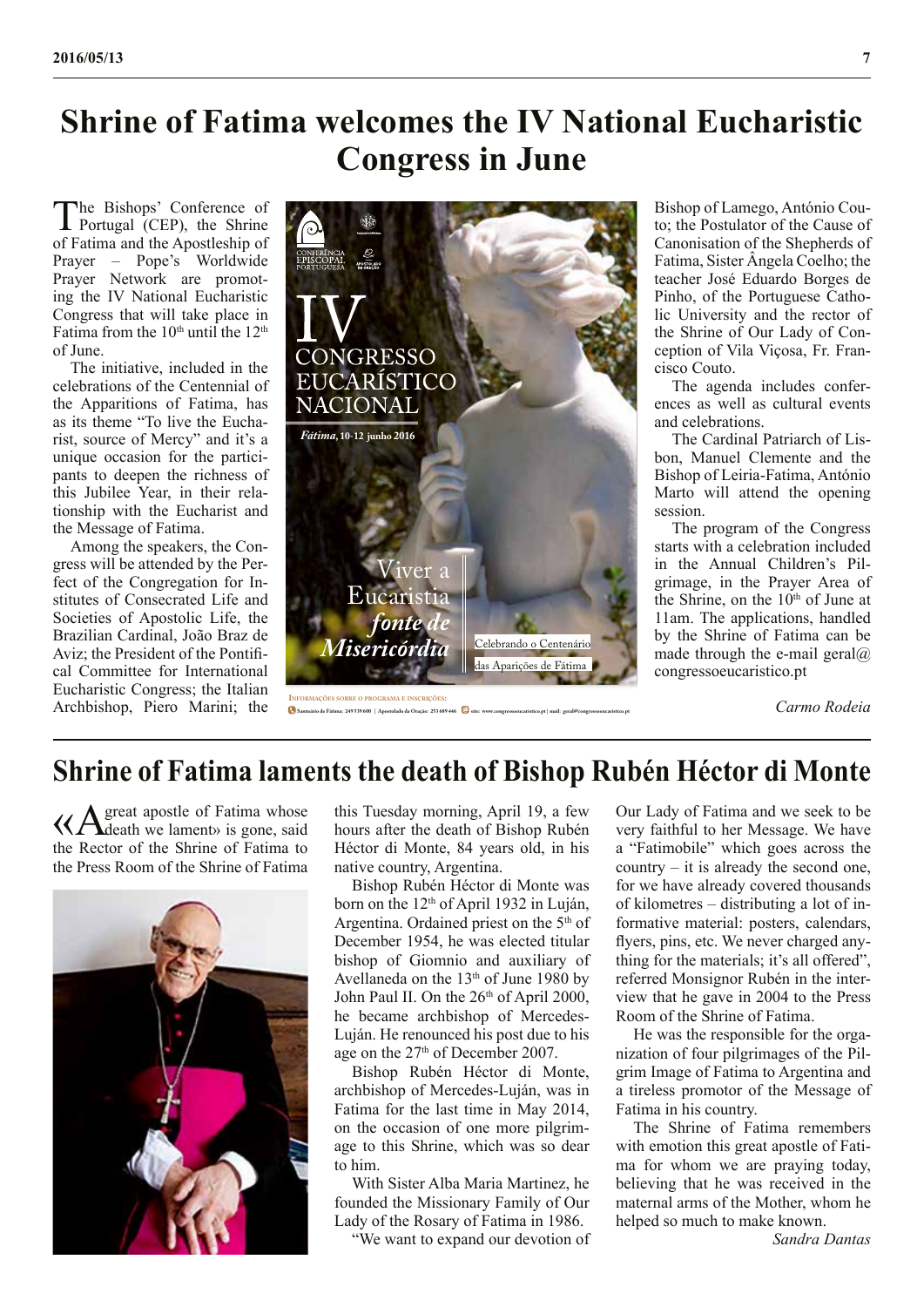## **Shrine of Fatima welcomes the IV National Eucharistic Congress in June**

The Bishops' Conference of Portugal (CEP), the Shrine of Fatima and the Apostleship of Prayer – Pope's Worldwide Prayer Network are promoting the IV National Eucharistic Congress that will take place in Fatima from the  $10<sup>th</sup>$  until the  $12<sup>th</sup>$ of June.

The initiative, included in the celebrations of the Centennial of the Apparitions of Fatima, has as its theme "To live the Eucharist, source of Mercy" and it's a unique occasion for the participants to deepen the richness of this Jubilee Year, in their relationship with the Eucharist and the Message of Fatima.

Among the speakers, the Congress will be attended by the Perfect of the Congregation for Institutes of Consecrated Life and Societies of Apostolic Life, the Brazilian Cardinal, João Braz de Aviz; the President of the Pontifical Committee for International Eucharistic Congress; the Italian Archbishop, Piero Marini; the **Informações sobre <sup>o</sup> programa <sup>e</sup> InscrIções:**



**Santuário de Fátima: 249 539 600 | Apostolado da Oração: 253 689 446 site: www.congressoeucaristico.pt | mail: geral@congressoeucaristico.pt**

Bishop of Lamego, António Couto; the Postulator of the Cause of Canonisation of the Shepherds of Fatima, Sister Ângela Coelho; the teacher José Eduardo Borges de Pinho, of the Portuguese Catholic University and the rector of the Shrine of Our Lady of Conception of Vila Viçosa, Fr. Francisco Couto.

The agenda includes conferences as well as cultural events and celebrations.

The Cardinal Patriarch of Lisbon, Manuel Clemente and the Bishop of Leiria-Fatima, António Marto will attend the opening session.

The program of the Congress starts with a celebration included in the Annual Children's Pilgrimage, in the Prayer Area of the Shrine, on the 10<sup>th</sup> of June at 11am. The applications, handled by the Shrine of Fatima can be made through the e-mail geral $@$ congressoeucaristico.pt

*Carmo Rodeia*

#### **Shrine of Fatima laments the death of Bishop Rubén Héctor di Monte**

«A great apostle of Fatima whose death we lament» is gone, said the Rector of the Shrine of Fatima to the Press Room of the Shrine of Fatima



this Tuesday morning, April 19, a few hours after the death of Bishop Rubén Héctor di Monte, 84 years old, in his native country, Argentina.

Bishop Rubén Héctor di Monte was born on the 12<sup>th</sup> of April 1932 in Luján, Argentina. Ordained priest on the 5th of December 1954, he was elected titular bishop of Giomnio and auxiliary of Avellaneda on the 13th of June 1980 by John Paul II. On the 26<sup>th</sup> of April 2000, he became archbishop of Mercedes-Luján. He renounced his post due to his age on the 27<sup>th</sup> of December 2007.

Bishop Rubén Héctor di Monte, archbishop of Mercedes-Luján, was in Fatima for the last time in May 2014, on the occasion of one more pilgrimage to this Shrine, which was so dear to him.

With Sister Alba Maria Martinez, he founded the Missionary Family of Our Lady of the Rosary of Fatima in 1986.

"We want to expand our devotion of

Our Lady of Fatima and we seek to be very faithful to her Message. We have a "Fatimobile" which goes across the country – it is already the second one, for we have already covered thousands of kilometres – distributing a lot of informative material: posters, calendars, flyers, pins, etc. We never charged anything for the materials; it's all offered", referred Monsignor Rubén in the interview that he gave in 2004 to the Press Room of the Shrine of Fatima.

He was the responsible for the organization of four pilgrimages of the Pilgrim Image of Fatima to Argentina and a tireless promotor of the Message of Fatima in his country.

The Shrine of Fatima remembers with emotion this great apostle of Fatima for whom we are praying today, believing that he was received in the maternal arms of the Mother, whom he helped so much to make known.